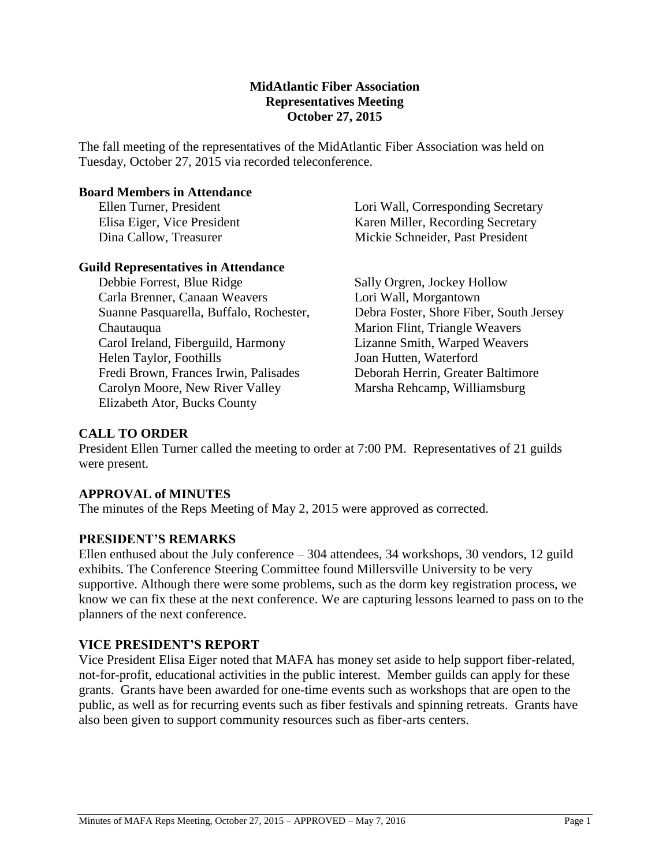#### **MidAtlantic Fiber Association Representatives Meeting October 27, 2015**

The fall meeting of the representatives of the MidAtlantic Fiber Association was held on Tuesday, October 27, 2015 via recorded teleconference.

#### **Board Members in Attendance**

Ellen Turner, President Elisa Eiger, Vice President Dina Callow, Treasurer

#### **Guild Representatives in Attendance**

Debbie Forrest, Blue Ridge Carla Brenner, Canaan Weavers Suanne Pasquarella, Buffalo, Rochester, Chautauqua Carol Ireland, Fiberguild, Harmony Helen Taylor, Foothills Fredi Brown, Frances Irwin, Palisades Carolyn Moore, New River Valley Elizabeth Ator, Bucks County

Lori Wall, Corresponding Secretary Karen Miller, Recording Secretary Mickie Schneider, Past President

Sally Orgren, Jockey Hollow Lori Wall, Morgantown Debra Foster, Shore Fiber, South Jersey Marion Flint, Triangle Weavers Lizanne Smith, Warped Weavers Joan Hutten, Waterford Deborah Herrin, Greater Baltimore Marsha Rehcamp, Williamsburg

### **CALL TO ORDER**

President Ellen Turner called the meeting to order at 7:00 PM. Representatives of 21 guilds were present.

#### **APPROVAL of MINUTES**

The minutes of the Reps Meeting of May 2, 2015 were approved as corrected.

### **PRESIDENT'S REMARKS**

Ellen enthused about the July conference – 304 attendees, 34 workshops, 30 vendors, 12 guild exhibits. The Conference Steering Committee found Millersville University to be very supportive. Although there were some problems, such as the dorm key registration process, we know we can fix these at the next conference. We are capturing lessons learned to pass on to the planners of the next conference.

### **VICE PRESIDENT'S REPORT**

Vice President Elisa Eiger noted that MAFA has money set aside to help support fiber-related, not-for-profit, educational activities in the public interest. Member guilds can apply for these grants. Grants have been awarded for one-time events such as workshops that are open to the public, as well as for recurring events such as fiber festivals and spinning retreats. Grants have also been given to support community resources such as fiber-arts centers.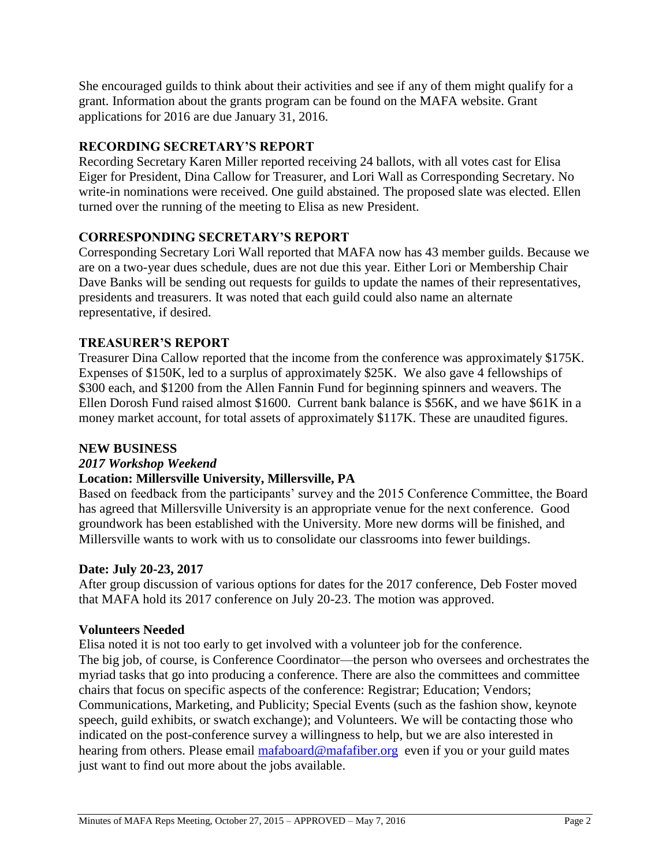She encouraged guilds to think about their activities and see if any of them might qualify for a grant. Information about the grants program can be found on the MAFA website. Grant applications for 2016 are due January 31, 2016.

# **RECORDING SECRETARY'S REPORT**

Recording Secretary Karen Miller reported receiving 24 ballots, with all votes cast for Elisa Eiger for President, Dina Callow for Treasurer, and Lori Wall as Corresponding Secretary. No write-in nominations were received. One guild abstained. The proposed slate was elected. Ellen turned over the running of the meeting to Elisa as new President.

# **CORRESPONDING SECRETARY'S REPORT**

Corresponding Secretary Lori Wall reported that MAFA now has 43 member guilds. Because we are on a two-year dues schedule, dues are not due this year. Either Lori or Membership Chair Dave Banks will be sending out requests for guilds to update the names of their representatives, presidents and treasurers. It was noted that each guild could also name an alternate representative, if desired.

# **TREASURER'S REPORT**

Treasurer Dina Callow reported that the income from the conference was approximately \$175K. Expenses of \$150K, led to a surplus of approximately \$25K. We also gave 4 fellowships of \$300 each, and \$1200 from the Allen Fannin Fund for beginning spinners and weavers. The Ellen Dorosh Fund raised almost \$1600. Current bank balance is \$56K, and we have \$61K in a money market account, for total assets of approximately \$117K. These are unaudited figures.

# **NEW BUSINESS**

# *2017 Workshop Weekend*

# **Location: Millersville University, Millersville, PA**

Based on feedback from the participants' survey and the 2015 Conference Committee, the Board has agreed that Millersville University is an appropriate venue for the next conference. Good groundwork has been established with the University. More new dorms will be finished, and Millersville wants to work with us to consolidate our classrooms into fewer buildings.

# **Date: July 20-23, 2017**

After group discussion of various options for dates for the 2017 conference, Deb Foster moved that MAFA hold its 2017 conference on July 20-23. The motion was approved.

# **Volunteers Needed**

Elisa noted it is not too early to get involved with a volunteer job for the conference. The big job, of course, is Conference Coordinator—the person who oversees and orchestrates the myriad tasks that go into producing a conference. There are also the committees and committee chairs that focus on specific aspects of the conference: Registrar; Education; Vendors; Communications, Marketing, and Publicity; Special Events (such as the fashion show, keynote speech, guild exhibits, or swatch exchange); and Volunteers. We will be contacting those who indicated on the post-conference survey a willingness to help, but we are also interested in hearing from others. Please email [mafaboard@mafafiber.org](mailto:mafaboard@mafafiber.org) even if you or your guild mates just want to find out more about the jobs available.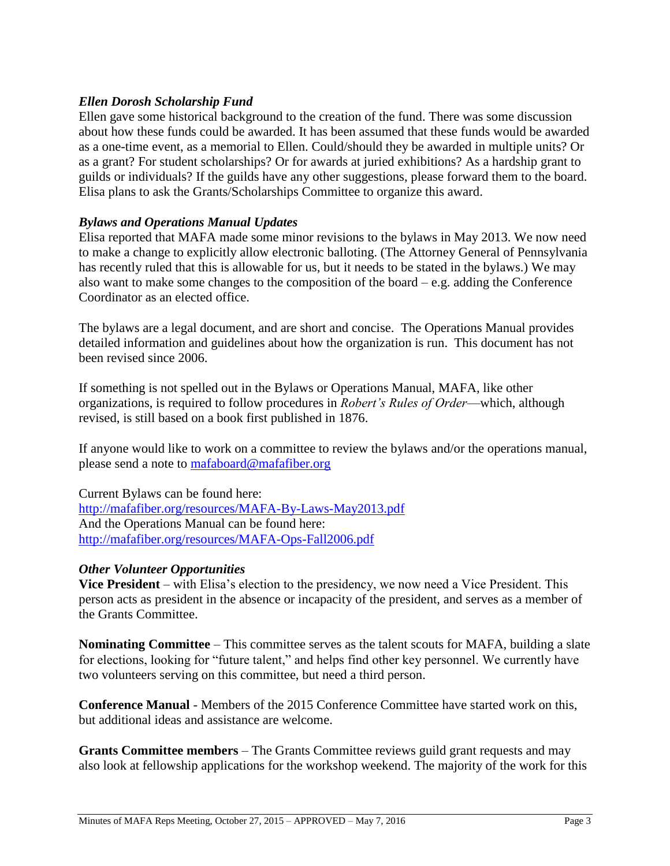### *Ellen Dorosh Scholarship Fund*

Ellen gave some historical background to the creation of the fund. There was some discussion about how these funds could be awarded. It has been assumed that these funds would be awarded as a one-time event, as a memorial to Ellen. Could/should they be awarded in multiple units? Or as a grant? For student scholarships? Or for awards at juried exhibitions? As a hardship grant to guilds or individuals? If the guilds have any other suggestions, please forward them to the board. Elisa plans to ask the Grants/Scholarships Committee to organize this award.

### *Bylaws and Operations Manual Updates*

Elisa reported that MAFA made some minor revisions to the bylaws in May 2013. We now need to make a change to explicitly allow electronic balloting. (The Attorney General of Pennsylvania has recently ruled that this is allowable for us, but it needs to be stated in the bylaws.) We may also want to make some changes to the composition of the board  $-e.g.$  adding the Conference Coordinator as an elected office.

The bylaws are a legal document, and are short and concise. The Operations Manual provides detailed information and guidelines about how the organization is run. This document has not been revised since 2006.

If something is not spelled out in the Bylaws or Operations Manual, MAFA, like other organizations, is required to follow procedures in *Robert's Rules of Order*—which, although revised, is still based on a book first published in 1876.

If anyone would like to work on a committee to review the bylaws and/or the operations manual, please send a note to [mafaboard@mafafiber.org](mailto:mafaboard@mafafiber.org)

Current Bylaws can be found here: <http://mafafiber.org/resources/MAFA-By-Laws-May2013.pdf> And the Operations Manual can be found here: <http://mafafiber.org/resources/MAFA-Ops-Fall2006.pdf>

### *Other Volunteer Opportunities*

**Vice President** – with Elisa's election to the presidency, we now need a Vice President. This person acts as president in the absence or incapacity of the president, and serves as a member of the Grants Committee.

**Nominating Committee** – This committee serves as the talent scouts for MAFA, building a slate for elections, looking for "future talent," and helps find other key personnel. We currently have two volunteers serving on this committee, but need a third person.

**Conference Manual** - Members of the 2015 Conference Committee have started work on this, but additional ideas and assistance are welcome.

**Grants Committee members** – The Grants Committee reviews guild grant requests and may also look at fellowship applications for the workshop weekend. The majority of the work for this